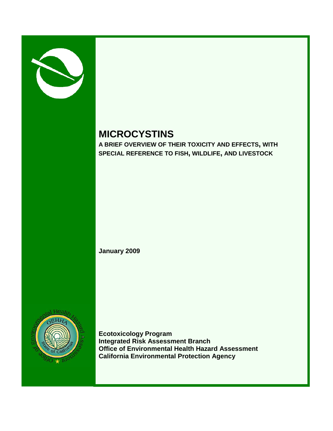

# **MICROCYSTINS**

**A BRIEF OVERVIEW OF THEIR TOXICITY AND EFFECTS, WITH SPECIAL REFERENCE TO FISH, WILDLIFE, AND LIVESTOCK**

**January 2009**



**Ecotoxicology Program Integrated Risk Assessment Branch Office of Environmental Health Hazard Assessment California Environmental Protection Agency**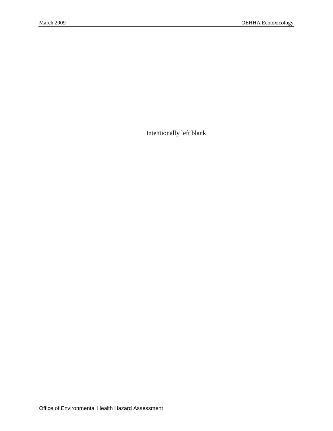Intentionally left blank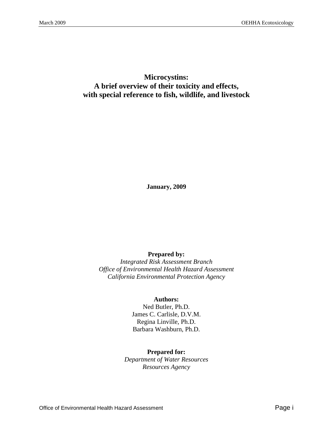## **Microcystins: A brief overview of their toxicity and effects, with special reference to fish, wildlife, and livestock**

**January, 2009**

#### **Prepared by:**

*Integrated Risk Assessment Branch Office of Environmental Health Hazard Assessment California Environmental Protection Agency*

#### **Authors:**

Ned Butler, Ph.D. James C. Carlisle, D.V.M. Regina Linville, Ph.D. Barbara Washburn, Ph.D.

#### **Prepared for:**

*Department of Water Resources Resources Agency*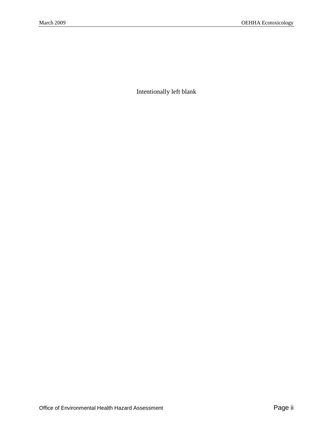Intentionally left blank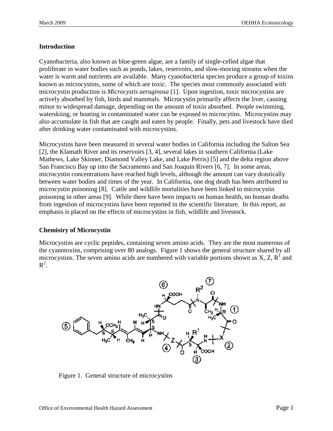#### **Introduction**

Cyanobacteria, also known as blue-green algae, are a family of single-celled algae that proliferate in water bodies such as ponds, lakes, reservoirs, and slow-moving streams when the water is warm and nutrients are available. Many cyanobacteria species produce a group of toxins known as microcystins, some of which are toxic. The species most commonly associated with microcystin production is *Microcystis aeruginosa* [1]. Upon ingestion, toxic microcystins are actively absorbed by fish, birds and mammals. Microcystin primarily affects the liver, causing minor to widespread damage, depending on the amount of toxin absorbed. People swimming, waterskiing, or boating in contaminated water can be exposed to microcytins. Microcystins may also accumulate in fish that are caught and eaten by people. Finally, pets and livestock have died after drinking water contaminated with microcystins.

Microcystins have been measured in several water bodies in California including the Salton Sea [2], the Klamath River and its reservoirs [3, 4], several lakes in southern California (Lake Mathews, Lake Skinner, Diamond Valley Lake, and Lake Perris) [5] and the delta region above San Francisco Bay up into the Sacramento and San Joaquin Rivers [6, 7]. In some areas, microcystin concentrations have reached high levels, although the amount can vary drastically between water bodies and times of the year. In California, one dog death has been attributed to microcystin poisoning [8]. Cattle and wildlife mortalities have been linked to microcystin poisoning in other areas [9]. While there have been impacts on human health, no human deaths from ingestion of microcystins have been reported in the scientific literature. In this report, an emphasis is placed on the effects of microcystins in fish, wildlife and livestock.

#### **Chemistry of Microcystin**

Microcystins are cyclic peptides, containing seven amino acids. They are the most numerous of the cyanotoxins, comprising over 80 analogs. Figure 1 shows the general structure shared by all microcystins. The seven amino acids are numbered with variable portions shown as  $X$ ,  $Z$ ,  $R^1$  and  $R^2$ .



Figure 1. General structure of microcystins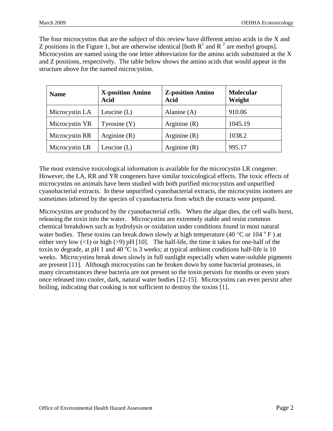The four microcystins that are the subject of this review have different amino acids in the X and Z positions in the Figure 1, but are otherwise identical [both  $R^1$  and  $R^2$  are methyl groups]. Microcystins are named using the one letter abbreviation for the amino acids substituted at the X and Z positions, respectively. The table below shows the amino acids that would appear in the structure above for the named microcystins.

| <b>Name</b>    | <b>X-position Amino</b><br><b>Acid</b> | <b>Z-position Amino</b><br><b>Acid</b> | <b>Molecular</b><br>Weight |  |
|----------------|----------------------------------------|----------------------------------------|----------------------------|--|
| Microcystin LA | Leucine $(L)$                          | Alanine $(A)$                          | 910.06                     |  |
| Microcystin YR | Tyrosine $(Y)$                         | Arginine $(R)$                         | 1045.19                    |  |
| Microcystin RR | Arginine $(R)$                         | Arginine $(R)$                         | 1038.2                     |  |
| Microcystin LR | Leucine $(L)$                          | Arginine $(R)$                         | 995.17                     |  |

The most extensive toxicological information is available for the microcystin LR congener. However, the LA, RR and YR congeners have similar toxicological effects. The toxic effects of microcystins on animals have been studied with both purified microcystins and unpurified cyanobacterial extracts. In these unpurified cyanobacterial extracts, the microcystins isomers are sometimes inferred by the species of cyanobacteria from which the extracts were prepared.

Microcystins are produced by the cyanobacterial cells. When the algae dies, the cell walls burst, releasing the toxin into the water. Microcystins are extremely stable and resist common chemical breakdown such as hydrolysis or oxidation under conditions found in most natural water bodies. These toxins can break down slowly at high temperature (40  $^{\circ}$ C or 104  $^{\circ}$  F) at either very low  $(\leq 1)$  or high  $(\geq 9)$  pH [10]. The half-life, the time it takes for one-half of the toxin to degrade, at pH 1 and 40  $\rm{^oC}$  is 3 weeks; at typical ambient conditions half-life is 10 weeks. Microcystins break down slowly in full sunlight especially when water-soluble pigments are present [11]. Although microcystins can be broken down by some bacterial proteases, in many circumstances these bacteria are not present so the toxin persists for months or even years once released into cooler, dark, natural water bodies [12-15]. Microcystins can even persist after boiling, indicating that cooking is not sufficient to destroy the toxins [1].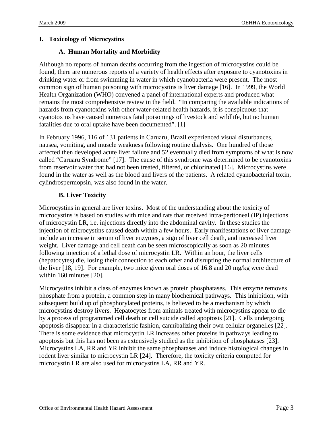## **I. Toxicology of Microcystins**

## **A. Human Mortality and Morbidity**

Although no reports of human deaths occurring from the ingestion of microcystins could be found, there are numerous reports of a variety of health effects after exposure to cyanotoxins in drinking water or from swimming in water in which cyanobacteria were present. The most common sign of human poisoning with microcystins is liver damage [16]. In 1999, the World Health Organization (WHO) convened a panel of international experts and produced what remains the most comprehensive review in the field. "In comparing the available indications of hazards from cyanotoxins with other water-related health hazards, it is conspicuous that cyanotoxins have caused numerous fatal poisonings of livestock and wildlife, but no human fatalities due to oral uptake have been documented". [1]

In February 1996, 116 of 131 patients in Caruaru, Brazil experienced visual disturbances, nausea, vomiting, and muscle weakness following routine dialysis. One hundred of those affected then developed acute liver failure and 52 eventually died from symptoms of what is now called "Caruaru Syndrome" [17]. The cause of this syndrome was determined to be cyanotoxins from reservoir water that had not been treated, filtered, or chlorinated [16]. Microcystins were found in the water as well as the blood and livers of the patients. A related cyanobacterial toxin, cylindrospermopsin, was also found in the water.

## **B. Liver Toxicity**

Microcystins in general are liver toxins. Most of the understanding about the toxicity of microcystins is based on studies with mice and rats that received intra-peritoneal (IP) injections of microcystin LR, i.e. injections directly into the abdominal cavity. In these studies the injection of microcystins caused death within a few hours. Early manifestations of liver damage include an increase in serum of liver enzymes, a sign of liver cell death, and increased liver weight. Liver damage and cell death can be seen microscopically as soon as 20 minutes following injection of a lethal dose of microcystin LR. Within an hour, the liver cells (hepatocytes) die, losing their connection to each other and disrupting the normal architecture of the liver [18, 19]. For example, two mice given oral doses of 16.8 and 20 mg/kg were dead within 160 minutes [20].

Microcystins inhibit a class of enzymes known as protein phosphatases. This enzyme removes phosphate from a protein, a common step in many biochemical pathways. This inhibition, with subsequent build up of phosphorylated proteins, is believed to be a mechanism by which microcystins destroy livers. Hepatocytes from animals treated with microcystins appear to die by a process of programmed cell death or cell suicide called apoptosis [21]. Cells undergoing apoptosis disappear in a characteristic fashion, cannibalizing their own cellular organelles [22]. There is some evidence that microcystin LR increases other proteins in pathways leading to apoptosis but this has not been as extensively studied as the inhibition of phosphatases [23]. Microcystins LA, RR and YR inhibit the same phosphatases and induce histological changes in rodent liver similar to microcystin LR [24]. Therefore, the toxicity criteria computed for microcystin LR are also used for microcystins LA, RR and YR.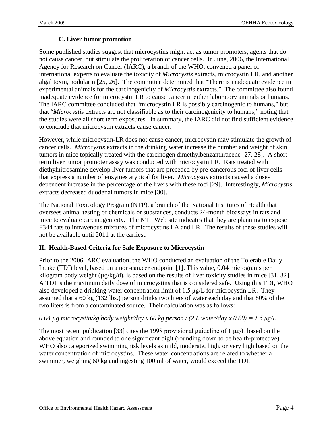## **C. Liver tumor promotion**

Some published studies suggest that microcystins might act as tumor promoters, agents that do not cause cancer, but stimulate the proliferation of cancer cells. In June, 2006, the International Agency for Research on Cancer (IARC), a branch of the WHO, convened a panel of international experts to evaluate the toxicity of *Microcystis* extracts, microcystin LR, and another algal toxin, nodularin [25, 26]. The committee determined that "There is inadequate evidence in experimental animals for the carcinogenicity of *Microcystis* extracts." The committee also found inadequate evidence for microcystin LR to cause cancer in either laboratory animals or humans. The IARC committee concluded that "microcystin LR is possibly carcinogenic to humans," but that "*Microcystis* extracts are not classifiable as to their carcinogenicity to humans," noting that the studies were all short term exposures. In summary, the IARC did not find sufficient evidence to conclude that microcystin extracts cause cancer.

However, while microcystin-LR does not cause cancer, microcystin may stimulate the growth of cancer cells. *Microcystis* extracts in the drinking water increase the number and weight of skin tumors in mice topically treated with the carcinogen dimethylbenzanthracene [27, 28]. A shortterm liver tumor promoter assay was conducted with microcystin LR. Rats treated with diethylnitrosamine develop liver tumors that are preceded by pre-cancerous foci of liver cells that express a number of enzymes atypical for liver. *Microcystis* extracts caused a dosedependent increase in the percentage of the livers with these foci [29]. Interestingly, *Microcystis* extracts decreased duodenal tumors in mice [30].

The National Toxicology Program (NTP), a branch of the National Institutes of Health that oversees animal testing of chemicals or substances, conducts 24-month bioassays in rats and mice to evaluate carcinogenicity. The NTP Web site indicates that they are planning to expose F344 rats to intravenous mixtures of microcystins LA and LR. The results of these studies will not be available until 2011 at the earliest.

## **II. Health-Based Criteria for Safe Exposure to Microcystin**

Prior to the 2006 IARC evaluation, the WHO conducted an evaluation of the Tolerable Daily Intake (TDI) level, based on a non-can.cer endpoint [1]. This value, 0.04 micrograms per kilogram body weight ( $\mu$ g/kg/d), is based on the results of liver toxicity studies in mice [31, 32]. A TDI is the maximum daily dose of microcystins that is considered safe. Using this TDI, WHO also developed a drinking water concentration limit of 1.5 μg/L for microcystin LR. They assumed that a 60 kg (132 lbs.) person drinks two liters of water each day and that 80% of the two liters is from a contaminated source. Their calculation was as follows:

## *0.04 µg microcystin/kg body weight/day x 60 kg person / (2 L water/day x 0.80) = 1.5 μg/L*

The most recent publication [33] cites the 1998 provisional guideline of 1 μg/L based on the above equation and rounded to one significant digit (rounding down to be health-protective). WHO also categorized swimming risk levels as mild, moderate, high, or very high based on the water concentration of microcystins. These water concentrations are related to whether a swimmer, weighing 60 kg and ingesting 100 ml of water, would exceed the TDI.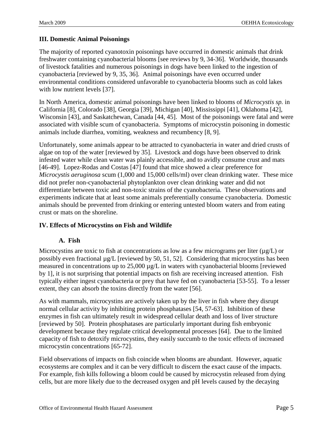## **III. Domestic Animal Poisonings**

The majority of reported cyanotoxin poisonings have occurred in domestic animals that drink freshwater containing cyanobacterial blooms [see reviews by 9, 34-36]. Worldwide, thousands of livestock fatalities and numerous poisonings in dogs have been linked to the ingestion of cyanobacteria [reviewed by 9, 35, 36]. Animal poisonings have even occurred under environmental conditions considered unfavorable to cyanobacteria blooms such as cold lakes with low nutrient levels [37].

In North America, domestic animal poisonings have been linked to blooms of *Microcystis sp.* in California [8], Colorado [38], Georgia [39], Michigan [40], Mississippi [41], Oklahoma [42], Wisconsin [43], and Saskatchewan, Canada [44, 45]. Most of the poisonings were fatal and were associated with visible scum of cyanobacteria. Symptoms of microcystin poisoning in domestic animals include diarrhea, vomiting, weakness and recumbency [8, 9].

Unfortunately, some animals appear to be attracted to cyanobacteria in water and dried crusts of algae on top of the water [reviewed by 35]. Livestock and dogs have been observed to drink infested water while clean water was plainly accessible, and to avidly consume crust and mats [46-49]. Lopez-Rodas and Costas [47] found that mice showed a clear preference for *Microcystis aeruginosa* scum (1,000 and 15,000 cells/ml) over clean drinking water. These mice did not prefer non-cyanobacterial phytoplankton over clean drinking water and did not differentiate between toxic and non-toxic strains of the cyanobacteria. These observations and experiments indicate that at least some animals preferentially consume cyanobacteria. Domestic animals should be prevented from drinking or entering untested bloom waters and from eating crust or mats on the shoreline.

## **IV. Effects of Microcystins on Fish and Wildlife**

## **A. Fish**

Microcystins are toxic to fish at concentrations as low as a few micrograms per liter  $(\mu g/L)$  or possibly even fractional  $\mu$ g/L [reviewed by 50, 51, 52]. Considering that microcystins has been measured in concentrations up to 25,000 µg/L in waters with cyanobacterial blooms [reviewed by 1], it is not surprising that potential impacts on fish are receiving increased attention. Fish typically either ingest cyanobacteria or prey that have fed on cyanobacteria [53-55]. To a lesser extent, they can absorb the toxins directly from the water [56].

As with mammals, microcystins are actively taken up by the liver in fish where they disrupt normal cellular activity by inhibiting protein phosphatases [54, 57-63]. Inhibition of these enzymes in fish can ultimately result in widespread cellular death and loss of liver structure [reviewed by 50]. Protein phosphatases are particularly important during fish embryonic development because they regulate critical developmental processes [64]. Due to the limited capacity of fish to detoxify microcystins, they easily succumb to the toxic effects of increased microcystin concentrations [65-72].

Field observations of impacts on fish coincide when blooms are abundant. However, aquatic ecosystems are complex and it can be very difficult to discern the exact cause of the impacts. For example, fish kills following a bloom could be caused by microcystin released from dying cells, but are more likely due to the decreased oxygen and pH levels caused by the decaying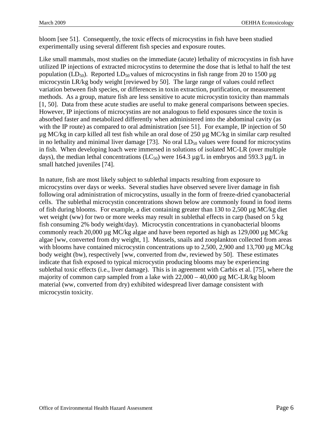bloom [see 51]. Consequently, the toxic effects of microcystins in fish have been studied experimentally using several different fish species and exposure routes.

Like small mammals, most studies on the immediate (acute) lethality of microcystins in fish have utilized IP injections of extracted microcystins to determine the dose that is lethal to half the test population (LD<sub>50</sub>). Reported LD<sub>50</sub> values of microcystins in fish range from 20 to 1500  $\mu$ g microcystin LR/kg body weight [reviewed by 50]. The large range of values could reflect variation between fish species, or differences in toxin extraction, purification, or measurement methods. As a group, mature fish are less sensitive to acute microcystin toxicity than mammals [1, 50]. Data from these acute studies are useful to make general comparisons between species. However, IP injections of microcystins are not analogous to field exposures since the toxin is absorbed faster and metabolized differently when administered into the abdominal cavity (as with the IP route) as compared to oral administration [see 51]. For example, IP injection of 50 µg MC/kg in carp killed all test fish while an oral dose of 250 µg MC/kg in similar carp resulted in no lethality and minimal liver damage [73]. No oral  $LD_{50}$  values were found for microcystins in fish. When developing loach were immersed in solutions of isolated MC-LR (over multiple days), the median lethal concentrations (LC<sub>50</sub>) were 164.3  $\mu$ g/L in embryos and 593.3  $\mu$ g/L in small hatched juveniles [74].

In nature, fish are most likely subject to sublethal impacts resulting from exposure to microcystins over days or weeks. Several studies have observed severe liver damage in fish following oral administration of microcystins, usually in the form of freeze-dried cyanobacterial cells. The sublethal microcystin concentrations shown below are commonly found in food items of fish during blooms. For example, a diet containing greater than 130 to 2,500 µg MC/kg diet wet weight (ww) for two or more weeks may result in sublethal effects in carp (based on 5 kg fish consuming 2% body weight/day). Microcystin concentrations in cyanobacterial blooms commonly reach 20,000  $\mu$ g MC/kg algae and have been reported as high as 129,000  $\mu$ g MC/kg algae [ww, converted from dry weight, 1]. Mussels, snails and zooplankton collected from areas with blooms have contained microcystin concentrations up to 2,500, 2,900 and 13,700  $\mu$ g MC/kg body weight (bw), respectively [ww, converted from dw, reviewed by 50]. These estimates indicate that fish exposed to typical microcystin producing blooms may be experiencing sublethal toxic effects (i.e., liver damage). This is in agreement with Carbis et al. [75], where the majority of common carp sampled from a lake with  $22,000 - 40,000 \mu$ g MC-LR/kg bloom material (ww, converted from dry) exhibited widespread liver damage consistent with microcystin toxicity.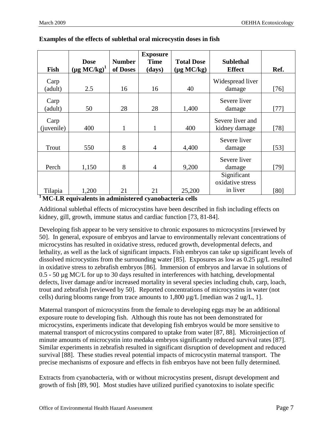|                 | <b>Dose</b>        | <b>Number</b> | <b>Exposure</b><br><b>Time</b> | <b>Total Dose</b> | <b>Sublethal</b>       |                   |
|-----------------|--------------------|---------------|--------------------------------|-------------------|------------------------|-------------------|
| Fish            | $(\mu g M C/kg)^1$ | of Doses      | (days)                         | $(\mu g MC/kg)$   | <b>Effect</b>          | Ref.              |
| Carp            |                    |               |                                |                   | Widespread liver       |                   |
| (adult)         | 2.5                | 16            | 16                             | 40                | damage                 | $[76]$            |
| Carp<br>(adult) | 50                 | 28            | 28                             | 1,400             | Severe liver<br>damage | $[77]$            |
|                 |                    |               |                                |                   |                        |                   |
| Carp            |                    |               |                                |                   | Severe liver and       |                   |
| (juvenile)      | 400                | $\mathbf{1}$  | $\mathbf{1}$                   | 400               | kidney damage          | $[78]$            |
| Trout           | 550                | 8             | $\overline{4}$                 | 4,400             | Severe liver<br>damage | $\left[53\right]$ |
|                 |                    |               |                                |                   | Severe liver           |                   |
| Perch           | 1,150              | 8             | $\overline{4}$                 | 9,200             | damage                 | $[79]$            |
|                 |                    |               |                                |                   | Significant            |                   |
|                 |                    |               |                                |                   | oxidative stress       |                   |
| Tilapia         | 1,200              | 21            | 21                             | 25,200            | in liver               | [80]              |

#### **Examples of the effects of sublethal oral microcystin doses in fish**

**1 MC-LR equivalents in administered cyanobacteria cells**

Additional sublethal effects of microcystins have been described in fish including effects on kidney, gill, growth, immune status and cardiac function [73, 81-84].

Developing fish appear to be very sensitive to chronic exposures to microcystins [reviewed by 50]. In general, exposure of embryos and larvae to environmentally relevant concentrations of microcystins has resulted in oxidative stress, reduced growth, developmental defects, and lethality, as well as the lack of significant impacts. Fish embryos can take up significant levels of dissolved microcystins from the surrounding water [85]. Exposures as low as 0.25 µg/L resulted in oxidative stress to zebrafish embryos [86]. Immersion of embryos and larvae in solutions of 0.5 - 50 µg MC/L for up to 30 days resulted in interferences with hatching, developmental defects, liver damage and/or increased mortality in several species including chub, carp, loach, trout and zebrafish [reviewed by 50]. Reported concentrations of microcystins in water (not cells) during blooms range from trace amounts to  $1,800 \mu g/L$  [median was  $2 \mu g/L$ , 1].

Maternal transport of microcystins from the female to developing eggs may be an additional exposure route to developing fish. Although this route has not been demonstrated for microcystins, experiments indicate that developing fish embryos would be more sensitive to maternal transport of microcystins compared to uptake from water [87, 88]. Microinjection of minute amounts of microcystin into medaka embryos significantly reduced survival rates [87]. Similar experiments in zebrafish resulted in significant disruption of development and reduced survival [88]. These studies reveal potential impacts of microcystin maternal transport. The precise mechanisms of exposure and effects in fish embryos have not been fully determined.

Extracts from cyanobacteria, with or without microcystins present, disrupt development and growth of fish [89, 90]. Most studies have utilized purified cyanotoxins to isolate specific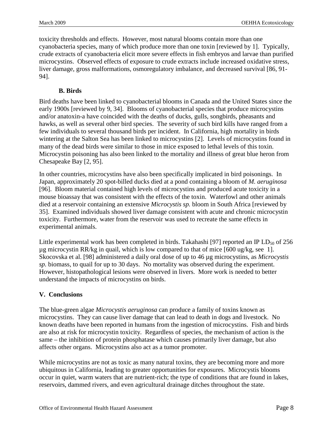toxicity thresholds and effects. However, most natural blooms contain more than one cyanobacteria species, many of which produce more than one toxin [reviewed by 1]. Typically, crude extracts of cyanobacteria elicit more severe effects in fish embryos and larvae than purified microcystins. Observed effects of exposure to crude extracts include increased oxidative stress, liver damage, gross malformations, osmoregulatory imbalance, and decreased survival [86, 91- 94].

## **B. Birds**

Bird deaths have been linked to cyanobacterial blooms in Canada and the United States since the early 1900s [reviewed by 9, 34]. Blooms of cyanobacterial species that produce microcystins and/or anatoxin-a have coincided with the deaths of ducks, gulls, songbirds, pheasants and hawks, as well as several other bird species. The severity of such bird kills have ranged from a few individuals to several thousand birds per incident. In California, high mortality in birds wintering at the Salton Sea has been linked to microcystins [2]. Levels of microcystins found in many of the dead birds were similar to those in mice exposed to lethal levels of this toxin. Microcystin poisoning has also been linked to the mortality and illness of great blue heron from Chesapeake Bay [2, 95].

In other countries, microcystins have also been specifically implicated in bird poisonings. In Japan, approximately 20 spot-billed ducks died at a pond containing a bloom of *M. aeruginosa* [96]. Bloom material contained high levels of microcystins and produced acute toxicity in a mouse bioassay that was consistent with the effects of the toxin. Waterfowl and other animals died at a reservoir containing an extensive *Microcystis sp.* bloom in South Africa [reviewed by 35]. Examined individuals showed liver damage consistent with acute and chronic microcystin toxicity. Furthermore, water from the reservoir was used to recreate the same effects in experimental animals.

Little experimental work has been completed in birds. Takahashi [97] reported an IP  $LD_{50}$  of 256 µg microcystin RR/kg in quail, which is low compared to that of mice [600 ug/kg, see 1]. Skocovska et al. [98] administered a daily oral dose of up to 46 µg microcystins, as *Microcystis sp.* biomass, to quail for up to 30 days. No mortality was observed during the experiment. However, histopathological lesions were observed in livers. More work is needed to better understand the impacts of microcystins on birds.

## **V. Conclusions**

The blue-green algae *Microcystis aeruginosa* can produce a family of toxins known as microcystins. They can cause liver damage that can lead to death in dogs and livestock. No known deaths have been reported in humans from the ingestion of microcystins. Fish and birds are also at risk for microcystin toxicity. Regardless of species, the mechanism of action is the same – the inhibition of protein phosphatase which causes primarily liver damage, but also affects other organs. Microcystins also act as a tumor promoter.

While microcystins are not as toxic as many natural toxins, they are becoming more and more ubiquitous in California, leading to greater opportunities for exposures. Microcystis blooms occur in quiet, warm waters that are nutrient-rich; the type of conditions that are found in lakes, reservoirs, dammed rivers, and even agricultural drainage ditches throughout the state.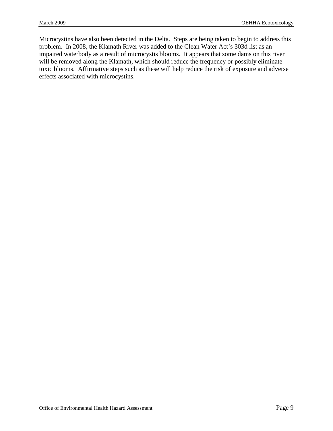Microcystins have also been detected in the Delta. Steps are being taken to begin to address this problem. In 2008, the Klamath River was added to the Clean Water Act's 303d list as an impaired waterbody as a result of microcystis blooms. It appears that some dams on this river will be removed along the Klamath, which should reduce the frequency or possibly eliminate toxic blooms. Affirmative steps such as these will help reduce the risk of exposure and adverse effects associated with microcystins.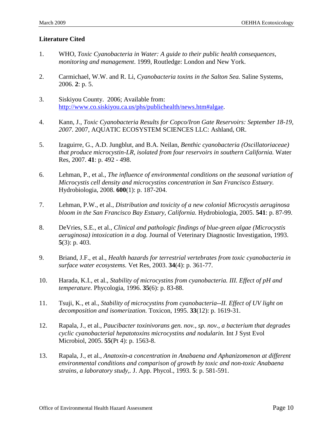#### **Literature Cited**

- 1. WHO, *Toxic Cyanobacteria in Water: A guide to their public health consequences, monitoring and management*. 1999, Routledge: London and New York.
- 2. Carmichael, W.W. and R. Li, *Cyanobacteria toxins in the Salton Sea.* Saline Systems, 2006. **2**: p. 5.
- 3. Siskiyou County. 2006; Available from: [http://www.co.siskiyou.ca.us/phs/publichealth/news.htm#algae.](http://www.co.siskiyou.ca.us/phs/publichealth/news.htm#algae)
- 4. Kann, J., *Toxic Cyanobacteria Results for Copco/Iron Gate Reservoirs: September 18-19, 2007*. 2007, AQUATIC ECOSYSTEM SCIENCES LLC: Ashland, OR.
- 5. Izaguirre, G., A.D. Jungblut, and B.A. Neilan, *Benthic cyanobacteria (Oscillatoriaceae) that produce microcystin-LR, isolated from four reservoirs in southern California.* Water Res, 2007. **41**: p. 492 - 498.
- 6. Lehman, P., et al., *The influence of environmental conditions on the seasonal variation of Microcystis cell density and microcystins concentration in San Francisco Estuary.* Hydrobiologia, 2008. **600**(1): p. 187-204.
- 7. Lehman, P.W., et al., *Distribution and toxicity of a new colonial Microcystis aeruginosa bloom in the San Francisco Bay Estuary, California.* Hydrobiologia, 2005. **541**: p. 87-99.
- 8. DeVries, S.E., et al., *Clinical and pathologic findings of blue-green algae (Microcystis aeruginosa) intoxication in a dog.* Journal of Veterinary Diagnostic Investigation, 1993. **5**(3): p. 403.
- 9. Briand, J.F., et al., *Health hazards for terrestrial vertebrates from toxic cyanobacteria in surface water ecosystems.* Vet Res, 2003. **34**(4): p. 361-77.
- 10. Harada, K.I., et al., *Stability of microcystins from cyanobacteria. III. Effect of pH and temperature.* Phycologia, 1996. **35**(6): p. 83-88.
- 11. Tsuji, K., et al., *Stability of microcystins from cyanobacteria--II. Effect of UV light on decomposition and isomerization.* Toxicon, 1995. **33**(12): p. 1619-31.
- 12. Rapala, J., et al., *Paucibacter toxinivorans gen. nov., sp. nov., a bacterium that degrades cyclic cyanobacterial hepatotoxins microcystins and nodularin.* Int J Syst Evol Microbiol, 2005. **55**(Pt 4): p. 1563-8.
- 13. Rapala, J., et al., *Anatoxin-a concentration in Anabaena and Aphanizomenon at different environmental conditions and comparison of growth by toxic and non-toxic Anabaena strains, a laboratory study,.* J. App. Phycol., 1993. **5**: p. 581-591.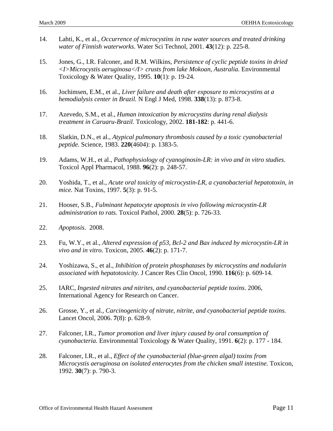- 14. Lahti, K., et al., *Occurrence of microcystins in raw water sources and treated drinking water of Finnish waterworks.* Water Sci Technol, 2001. **43**(12): p. 225-8.
- 15. Jones, G., I.R. Falconer, and R.M. Wilkins, *Persistence of cyclic peptide toxins in dried <I>Microcystis aeruginosa</I> crusts from lake Mokoan, Australia.* Environmental Toxicology & Water Quality, 1995. **10**(1): p. 19-24.
- 16. Jochimsen, E.M., et al., *Liver failure and death after exposure to microcystins at a hemodialysis center in Brazil.* N Engl J Med, 1998. **338**(13): p. 873-8.
- 17. Azevedo, S.M., et al., *Human intoxication by microcystins during renal dialysis treatment in Caruaru-Brazil.* Toxicology, 2002. **181-182**: p. 441-6.
- 18. Slatkin, D.N., et al., *Atypical pulmonary thrombosis caused by a toxic cyanobacterial peptide.* Science, 1983. **220**(4604): p. 1383-5.
- 19. Adams, W.H., et al., *Pathophysiology of cyanoginosin-LR: in vivo and in vitro studies.* Toxicol Appl Pharmacol, 1988. **96**(2): p. 248-57.
- 20. Yoshida, T., et al., *Acute oral toxicity of microcystin-LR, a cyanobacterial hepatotoxin, in mice.* Nat Toxins, 1997. **5**(3): p. 91-5.
- 21. Hooser, S.B., *Fulminant hepatocyte apoptosis in vivo following microcystin-LR administration to rats.* Toxicol Pathol, 2000. **28**(5): p. 726-33.
- 22. *Apoptosis*. 2008.
- 23. Fu, W.Y., et al., *Altered expression of p53, Bcl-2 and Bax induced by microcystin-LR in vivo and in vitro.* Toxicon, 2005. **46**(2): p. 171-7.
- 24. Yoshizawa, S., et al., *Inhibition of protein phosphatases by microcystins and nodularin associated with hepatotoxicity.* J Cancer Res Clin Oncol, 1990. **116**(6): p. 609-14.
- 25. IARC, *Ingested nitrates and nitrites, and cyanobacterial peptide toxins*. 2006, International Agency for Research on Cancer.
- 26. Grosse, Y., et al., *Carcinogenicity of nitrate, nitrite, and cyanobacterial peptide toxins.* Lancet Oncol, 2006. **7**(8): p. 628-9.
- 27. Falconer, I.R., *Tumor promotion and liver injury caused by oral consumption of cyanobacteria.* Environmental Toxicology & Water Quality, 1991. **6**(2): p. 177 - 184.
- 28. Falconer, I.R., et al., *Effect of the cyanobacterial (blue-green algal) toxins from Microcystis aeruginosa on isolated enterocytes from the chicken small intestine.* Toxicon, 1992. **30**(7): p. 790-3.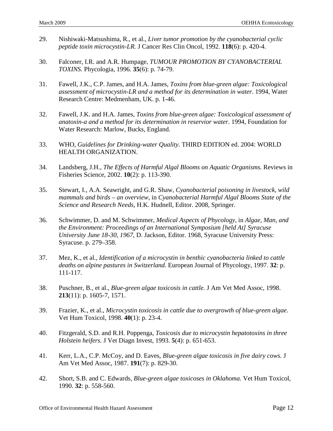- 29. Nishiwaki-Matsushima, R., et al., *Liver tumor promotion by the cyanobacterial cyclic peptide toxin microcystin-LR.* J Cancer Res Clin Oncol, 1992. **118**(6): p. 420-4.
- 30. Falconer, I.R. and A.R. Humpage, *TUMOUR PROMOTION BY CYANOBACTERIAL TOXINS.* Phycologia, 1996. **35**(6): p. 74-79.
- 31. Fawell, J.K., C.P. James, and H.A. James, *Toxins from blue-green algae: Toxicological assessment of microcystin-LR and a method for its determination in water*. 1994, Water Research Centre: Medmenham, UK. p. 1-46.
- 32. Fawell, J.K. and H.A. James, *Toxins from blue-green algae: Toxicological assessment of anatoxin-a and a method for its determination in reservior water*. 1994, Foundation for Water Research: Marlow, Bucks, England.
- 33. WHO, *Guidelines for Drinking-water Quality*. THIRD EDITION ed. 2004: WORLD HEALTH ORGANIZATION.
- 34. Landsberg, J.H., *The Effects of Harmful Algal Blooms on Aquatic Organisms.* Reviews in Fisheries Science, 2002. **10**(2): p. 113-390.
- 35. Stewart, I., A.A. Seawright, and G.R. Shaw, *Cyanobacterial poisoning in livestock, wild mammals and birds – an overview*, in *Cyanobacterial Harmful Algal Blooms State of the Science and Research Needs*, H.K. Hudnell, Editor. 2008, Springer.
- 36. Schwimmer, D. and M. Schwimmer, *Medical Aspects of Phycology*, in *Algae, Man, and the Environment: Proceedings of an International Symposium [held At] Syracuse University June 18-30, 1967*, D. Jackson, Editor. 1968, Syracuse University Press: Syracuse. p. 279–358.
- 37. Mez, K., et al., *Identification of a microcystin in benthic cyanobacteria linked to cattle deaths on alpine pastures in Switzerland.* European Journal of Phycology, 1997. **32**: p. 111-117.
- 38. Puschner, B., et al., *Blue-green algae toxicosis in cattle.* J Am Vet Med Assoc, 1998. **213**(11): p. 1605-7, 1571.
- 39. Frazier, K., et al., *Microcystin toxicosis in cattle due to overgrowth of blue-green algae.* Vet Hum Toxicol, 1998. **40**(1): p. 23-4.
- 40. Fitzgerald, S.D. and R.H. Poppenga, *Toxicosis due to microcystin hepatotoxins in three Holstein heifers.* J Vet Diagn Invest, 1993. **5**(4): p. 651-653.
- 41. Kerr, L.A., C.P. McCoy, and D. Eaves, *Blue-green algae toxicosis in five dairy cows.* J Am Vet Med Assoc, 1987. **191**(7): p. 829-30.
- 42. Short, S.B. and C. Edwards, *Blue-green algae toxicoses in Oklahoma.* Vet Hum Toxicol, 1990. **32**: p. 558-560.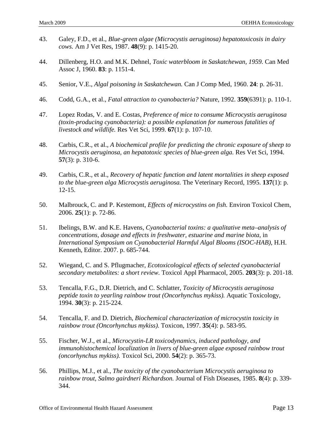- 43. Galey, F.D., et al., *Blue-green algae (Microcystis aeruginosa) hepatotoxicosis in dairy cows.* Am J Vet Res, 1987. **48**(9): p. 1415-20.
- 44. Dillenberg, H.O. and M.K. Dehnel, *Toxic waterbloom in Saskatchewan, 1959.* Can Med Assoc J, 1960. **83**: p. 1151-4.
- 45. Senior, V.E., *Algal poisoning in Saskatchewan.* Can J Comp Med, 1960. **24**: p. 26-31.
- 46. Codd, G.A., et al., *Fatal attraction to cyanobacteria?* Nature, 1992. **359**(6391): p. 110-1.
- 47. Lopez Rodas, V. and E. Costas, *Preference of mice to consume Microcystis aeruginosa (toxin-producing cyanobacteria): a possible explanation for numerous fatalities of livestock and wildlife.* Res Vet Sci, 1999. **67**(1): p. 107-10.
- 48. Carbis, C.R., et al., *A biochemical profile for predicting the chronic exposure of sheep to Microcystis aeruginosa, an hepatotoxic species of blue-green alga.* Res Vet Sci, 1994. **57**(3): p. 310-6.
- 49. Carbis, C.R., et al., *Recovery of hepatic function and latent mortalities in sheep exposed to the blue-green alga Microcystis aeruginosa.* The Veterinary Record, 1995. **137**(1): p. 12-15.
- 50. Malbrouck, C. and P. Kestemont, *Effects of microcystins on fish.* Environ Toxicol Chem, 2006. **25**(1): p. 72-86.
- 51. Ibelings, B.W. and K.E. Havens, *Cyanobacterial toxins: a qualitative meta–analysis of concentrations, dosage and effects in freshwater, estuarine and marine biota*, in *International Symposium on Cyanobacterial Harmful Algal Blooms (ISOC-HAB)*, H.H. Kenneth, Editor. 2007. p. 685-744.
- 52. Wiegand, C. and S. Pflugmacher, *Ecotoxicological effects of selected cyanobacterial secondary metabolites: a short review.* Toxicol Appl Pharmacol, 2005. **203**(3): p. 201-18.
- 53. Tencalla, F.G., D.R. Dietrich, and C. Schlatter, *Toxicity of Microcystis aeruginosa peptide toxin to yearling rainbow trout (Oncorhynchus mykiss).* Aquatic Toxicology, 1994. **30**(3): p. 215-224.
- 54. Tencalla, F. and D. Dietrich, *Biochemical characterization of microcystin toxicity in rainbow trout (Oncorhynchus mykiss).* Toxicon, 1997. **35**(4): p. 583-95.
- 55. Fischer, W.J., et al., *Microcystin-LR toxicodynamics, induced pathology, and immunohistochemical localization in livers of blue-green algae exposed rainbow trout (oncorhynchus mykiss).* Toxicol Sci, 2000. **54**(2): p. 365-73.
- 56. Phillips, M.J., et al., *The toxicity of the cyanobacterium Microcystis aeruginosa to rainbow trout, Salmo gairdneri Richardson.* Journal of Fish Diseases, 1985. **8**(4): p. 339- 344.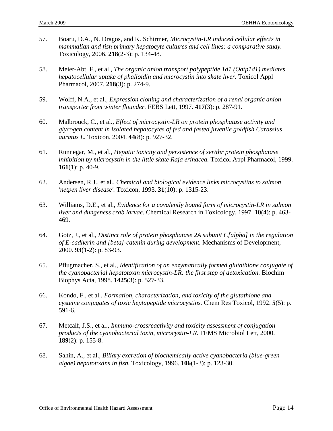- 57. Boaru, D.A., N. Dragos, and K. Schirmer, *Microcystin-LR induced cellular effects in mammalian and fish primary hepatocyte cultures and cell lines: a comparative study.* Toxicology, 2006. **218**(2-3): p. 134-48.
- 58. Meier-Abt, F., et al., *The organic anion transport polypeptide 1d1 (Oatp1d1) mediates hepatocellular uptake of phalloidin and microcystin into skate liver.* Toxicol Appl Pharmacol, 2007. **218**(3): p. 274-9.
- 59. Wolff, N.A., et al., *Expression cloning and characterization of a renal organic anion transporter from winter flounder.* FEBS Lett, 1997. **417**(3): p. 287-91.
- 60. Malbrouck, C., et al., *Effect of microcystin-LR on protein phosphatase activity and glycogen content in isolated hepatocytes of fed and fasted juvenile goldfish Carassius auratus L.* Toxicon, 2004. **44**(8): p. 927-32.
- 61. Runnegar, M., et al., *Hepatic toxicity and persistence of ser/thr protein phosphatase inhibition by microcystin in the little skate Raja erinacea.* Toxicol Appl Pharmacol, 1999. **161**(1): p. 40-9.
- 62. Andersen, R.J., et al., *Chemical and biological evidence links microcystins to salmon 'netpen liver disease'.* Toxicon, 1993. **31**(10): p. 1315-23.
- 63. Williams, D.E., et al., *Evidence for a covalently bound form of microcystin-LR in salmon liver and dungeness crab larvae.* Chemical Research in Toxicology, 1997. **10**(4): p. 463- 469.
- 64. Gotz, J., et al., *Distinct role of protein phosphatase 2A subunit C[alpha] in the regulation of E-cadherin and [beta]-catenin during development.* Mechanisms of Development, 2000. **93**(1-2): p. 83-93.
- 65. Pflugmacher, S., et al., *Identification of an enzymatically formed glutathione conjugate of the cyanobacterial hepatotoxin microcystin-LR: the first step of detoxication.* Biochim Biophys Acta, 1998. **1425**(3): p. 527-33.
- 66. Kondo, F., et al., *Formation, characterization, and toxicity of the glutathione and cysteine conjugates of toxic heptapeptide microcystins.* Chem Res Toxicol, 1992. **5**(5): p. 591-6.
- 67. Metcalf, J.S., et al., *Immuno-crossreactivity and toxicity assessment of conjugation products of the cyanobacterial toxin, microcystin-LR.* FEMS Microbiol Lett, 2000. **189**(2): p. 155-8.
- 68. Sahin, A., et al., *Biliary excretion of biochemically active cyanobacteria (blue-green algae) hepatotoxins in fish.* Toxicology, 1996. **106**(1-3): p. 123-30.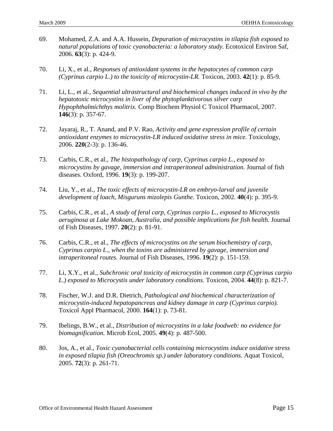- 69. Mohamed, Z.A. and A.A. Hussein, *Depuration of microcystins in tilapia fish exposed to natural populations of toxic cyanobacteria: a laboratory study.* Ecotoxicol Environ Saf, 2006. **63**(3): p. 424-9.
- 70. Li, X., et al., *Responses of antioxidant systems in the hepatocytes of common carp (Cyprinus carpio L.) to the toxicity of microcystin-LR.* Toxicon, 2003. **42**(1): p. 85-9.
- 71. Li, L., et al., *Sequential ultrastructural and biochemical changes induced in vivo by the hepatotoxic microcystins in liver of the phytoplanktivorous silver carp Hypophthalmichthys molitrix.* Comp Biochem Physiol C Toxicol Pharmacol, 2007. **146**(3): p. 357-67.
- 72. Jayaraj, R., T. Anand, and P.V. Rao, *Activity and gene expression profile of certain antioxidant enzymes to microcystin-LR induced oxidative stress in mice.* Toxicology, 2006. **220**(2-3): p. 136-46.
- 73. Carbis, C.R., et al., *The histopathology of carp, Cyprinus carpio L., exposed to microcystins by gavage, immersion and intraperitoneal administration.* Journal of fish diseases. Oxford, 1996. **19**(3): p. 199-207.
- 74. Liu, Y., et al., *The toxic effects of microcystin-LR on embryo-larval and juvenile development of loach, Misguruns mizolepis Gunthe.* Toxicon, 2002. **40**(4): p. 395-9.
- 75. Carbis, C.R., et al., *A study of feral carp, Cyprinus carpio L., exposed to Microcystis aeruginosa at Lake Mokoan, Australia, and possible implications for fish health.* Journal of Fish Diseases, 1997. **20**(2): p. 81-91.
- 76. Carbis, C.R., et al., *The effects of microcystins on the serum biochemistry of carp, Cyprinus carpio L., when the toxins are administered by gavage, immersion and intraperitoneal routes.* Journal of Fish Diseases, 1996. **19**(2): p. 151-159.
- 77. Li, X.Y., et al., *Subchronic oral toxicity of microcystin in common carp (Cyprinus carpio L.) exposed to Microcystis under laboratory conditions.* Toxicon, 2004. **44**(8): p. 821-7.
- 78. Fischer, W.J. and D.R. Dietrich, *Pathological and biochemical characterization of microcystin-induced hepatopancreas and kidney damage in carp (Cyprinus carpio).* Toxicol Appl Pharmacol, 2000. **164**(1): p. 73-81.
- 79. Ibelings, B.W., et al., *Distribution of microcystins in a lake foodweb: no evidence for biomagnification.* Microb Ecol, 2005. **49**(4): p. 487-500.
- 80. Jos, A., et al., *Toxic cyanobacterial cells containing microcystins induce oxidative stress in exposed tilapia fish (Oreochromis sp.) under laboratory conditions.* Aquat Toxicol, 2005. **72**(3): p. 261-71.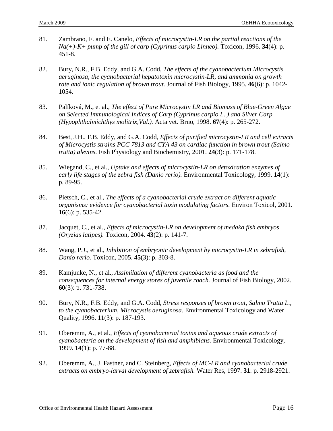- 81. Zambrano, F. and E. Canelo, *Effects of microcystin-LR on the partial reactions of the Na(+)-K+ pump of the gill of carp (Cyprinus carpio Linneo).* Toxicon, 1996. **34**(4): p. 451-8.
- 82. Bury, N.R., F.B. Eddy, and G.A. Codd, *The effects of the cyanobacterium Microcystis aeruginosa, the cyanobacterial hepatotoxin microcystin-LR, and ammonia on growth rate and ionic regulation of brown trout.* Journal of Fish Biology, 1995. **46**(6): p. 1042- 1054.
- 83. Palíková, M., et al., *The effect of Pure Microcystin LR and Biomass of Blue-Green Algae on Selected Immunological Indices of Carp (Cyprinus carpio L. ) and Silver Carp (Hypophthalmichthys molitrix,Val.).* Acta vet. Brno, 1998. **67**(4): p. 265-272.
- 84. Best, J.H., F.B. Eddy, and G.A. Codd, *Effects of purified microcystin-LR and cell extracts of Microcystis strains PCC 7813 and CYA 43 on cardiac function in brown trout (Salmo trutta) alevins.* Fish Physiology and Biochemistry, 2001. **24**(3): p. 171-178.
- 85. Wiegand, C., et al., *Uptake and effects of microcystin-LR on detoxication enzymes of early life stages of the zebra fish (Danio rerio).* Environmental Toxicology, 1999. **14**(1): p. 89-95.
- 86. Pietsch, C., et al., *The effects of a cyanobacterial crude extract on different aquatic organisms: evidence for cyanobacterial toxin modulating factors.* Environ Toxicol, 2001. **16**(6): p. 535-42.
- 87. Jacquet, C., et al., *Effects of microcystin-LR on development of medaka fish embryos (Oryzias latipes).* Toxicon, 2004. **43**(2): p. 141-7.
- 88. Wang, P.J., et al., *Inhibition of embryonic development by microcystin-LR in zebrafish, Danio rerio.* Toxicon, 2005. **45**(3): p. 303-8.
- 89. Kamjunke, N., et al., *Assimilation of different cyanobacteria as food and the consequences for internal energy stores of juvenile roach.* Journal of Fish Biology, 2002. **60**(3): p. 731-738.
- 90. Bury, N.R., F.B. Eddy, and G.A. Codd, *Stress responses of brown trout, Salmo Trutta L., to the cyanobacterium, Microcystis aeruginosa.* Environmental Toxicology and Water Quality, 1996. **11**(3): p. 187-193.
- 91. Oberemm, A., et al., *Effects of cyanobacterial toxins and aqueous crude extracts of cyanobacteria on the development of fish and amphibians.* Environmental Toxicology, 1999. **14**(1): p. 77-88.
- 92. Oberemm, A., J. Fastner, and C. Steinberg, *Effects of MC-LR and cyanobacterial crude extracts on embryo-larval development of zebrafish.* Water Res, 1997. **31**: p. 2918-2921.